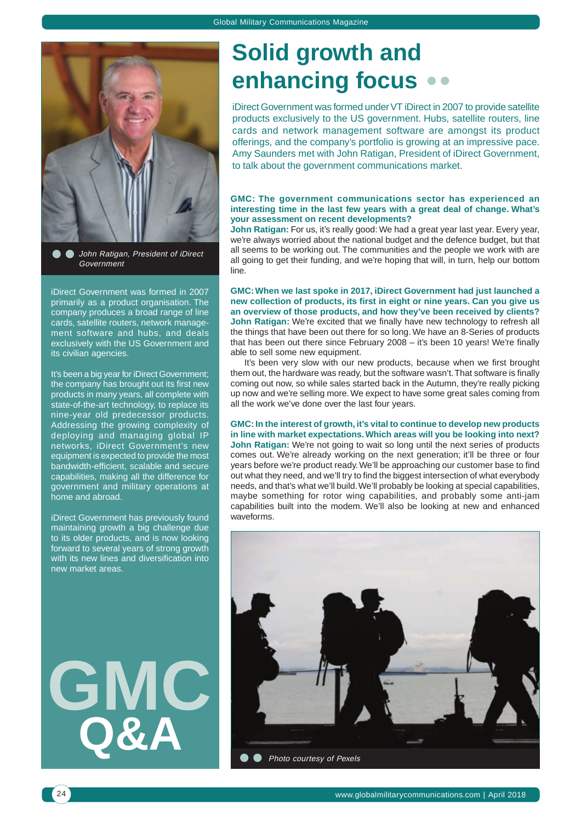

**John Ratigan, President of iDirect** Government

iDirect Government was formed in 2007 primarily as a product organisation. The company produces a broad range of line cards, satellite routers, network management software and hubs, and deals exclusively with the US Government and its civilian agencies.

It's been a big year for iDirect Government; the company has brought out its first new products in many years, all complete with state-of-the-art technology, to replace its nine-year old predecessor products. Addressing the growing complexity of deploying and managing global IP networks, iDirect Government's new equipment is expected to provide the most bandwidth-efficient, scalable and secure capabilities, making all the difference for government and military operations at home and abroad.

iDirect Government has previously found maintaining growth a big challenge due to its older products, and is now looking forward to several years of strong growth with its new lines and diversification into new market areas.

**GMC Q&A**

# **Solid growth and enhancing focus**

iDirect Government was formed under VT iDirect in 2007 to provide satellite products exclusively to the US government. Hubs, satellite routers, line cards and network management software are amongst its product offerings, and the company's portfolio is growing at an impressive pace. Amy Saunders met with John Ratigan, President of iDirect Government, to talk about the government communications market.

#### **GMC: The government communications sector has experienced an interesting time in the last few years with a great deal of change. What's your assessment on recent developments?**

John Ratigan: For us, it's really good: We had a great year last year. Every year, we're always worried about the national budget and the defence budget, but that all seems to be working out. The communities and the people we work with are all going to get their funding, and we're hoping that will, in turn, help our bottom line.

**GMC: When we last spoke in 2017, iDirect Government had just launched a new collection of products, its first in eight or nine years. Can you give us an overview of those products, and how they've been received by clients? John Ratigan:** We're excited that we finally have new technology to refresh all the things that have been out there for so long. We have an 8-Series of products that has been out there since February 2008 – it's been 10 years! We're finally able to sell some new equipment.

It's been very slow with our new products, because when we first brought them out, the hardware was ready, but the software wasn't. That software is finally coming out now, so while sales started back in the Autumn, they're really picking up now and we're selling more. We expect to have some great sales coming from all the work we've done over the last four years.

**GMC: In the interest of growth, it's vital to continue to develop new products in line with market expectations. Which areas will you be looking into next?** John Ratigan: We're not going to wait so long until the next series of products comes out. We're already working on the next generation; it'll be three or four years before we're product ready. We'll be approaching our customer base to find out what they need, and we'll try to find the biggest intersection of what everybody needs, and that's what we'll build. We'll probably be looking at special capabilities, maybe something for rotor wing capabilities, and probably some anti-jam capabilities built into the modem. We'll also be looking at new and enhanced waveforms.

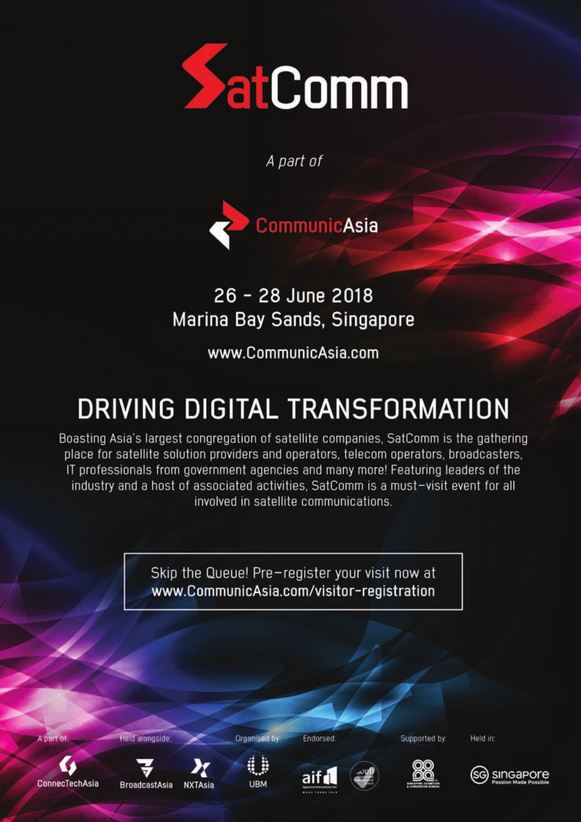

A part of

CommunicAsia

## 26 - 28 June 2018 Marina Bay Sands, Singapore

www.CommunicAsia.com

# DRIVING DIGITAL TRANSFORMATION

Boasting Asia's largest congregation of satellite companies, SatComm is the gathering place for satellite solution providers and operators, telecom operators, broadcasters, IT professionals from government agencies and many more! Featuring leaders of the industry and a host of associated activities. SatComm is a must-visit event for all involved in satellite communications.

> Skip the Queue! Pre-register your visit now at www.CommunicAsia.com/visitor-registration

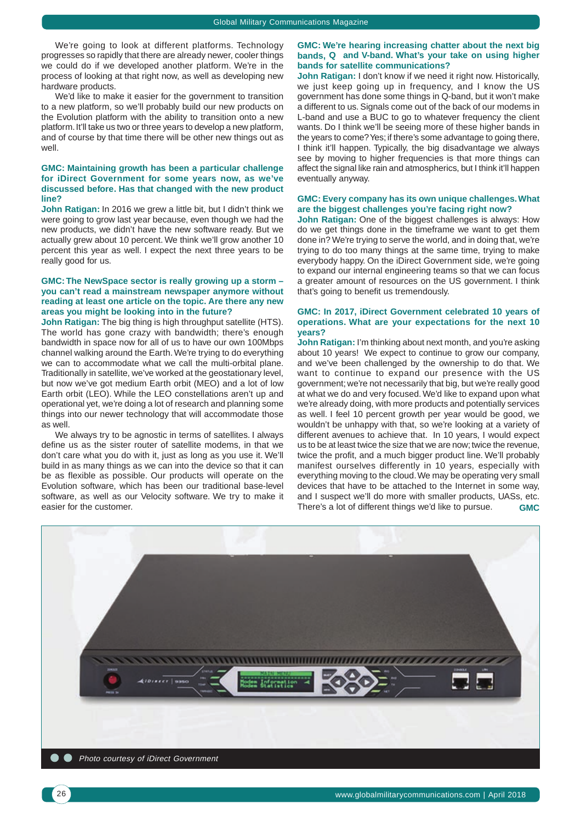We're going to look at different platforms. Technology progresses so rapidly that there are already newer, cooler things we could do if we developed another platform. We're in the process of looking at that right now, as well as developing new hardware products.

We'd like to make it easier for the government to transition to a new platform, so we'll probably build our new products on the Evolution platform with the ability to transition onto a new platform. It'll take us two or three years to develop a new platform, and of course by that time there will be other new things out as well

#### **GMC: Maintaining growth has been a particular challenge for iDirect Government for some years now, as we've discussed before. Has that changed with the new product line?**

**John Ratigan:** In 2016 we grew a little bit, but I didn't think we were going to grow last year because, even though we had the new products, we didn't have the new software ready. But we actually grew about 10 percent. We think we'll grow another 10 percent this year as well. I expect the next three years to be really good for us.

#### **GMC: The NewSpace sector is really growing up a storm – you can't read a mainstream newspaper anymore without reading at least one article on the topic. Are there any new areas you might be looking into in the future?**

**John Ratigan:** The big thing is high throughput satellite (HTS). The world has gone crazy with bandwidth; there's enough bandwidth in space now for all of us to have our own 100Mbps channel walking around the Earth. We're trying to do everything we can to accommodate what we call the multi-orbital plane. Traditionally in satellite, we've worked at the geostationary level, but now we've got medium Earth orbit (MEO) and a lot of low Earth orbit (LEO). While the LEO constellations aren't up and operational yet, we're doing a lot of research and planning some things into our newer technology that will accommodate those as well.

We always try to be agnostic in terms of satellites. I always define us as the sister router of satellite modems, in that we don't care what you do with it, just as long as you use it. We'll build in as many things as we can into the device so that it can be as flexible as possible. Our products will operate on the Evolution software, which has been our traditional base-level software, as well as our Velocity software. We try to make it easier for the customer.

#### **GMC: We're hearing increasing chatter about the next big bands, Q and V-band. What's your take on using higher bands for satellite communications?**

**John Ratigan:** I don't know if we need it right now. Historically, we just keep going up in frequency, and I know the US government has done some things in Q-band, but it won't make a different to us. Signals come out of the back of our modems in L-band and use a BUC to go to whatever frequency the client wants. Do I think we'll be seeing more of these higher bands in the years to come? Yes; if there's some advantage to going there, I think it'll happen. Typically, the big disadvantage we always see by moving to higher frequencies is that more things can affect the signal like rain and atmospherics, but I think it'll happen eventually anyway.

#### **GMC: Every company has its own unique challenges. What are the biggest challenges you're facing right now?**

**John Ratigan:** One of the biggest challenges is always: How do we get things done in the timeframe we want to get them done in? We're trying to serve the world, and in doing that, we're trying to do too many things at the same time, trying to make everybody happy. On the iDirect Government side, we're going to expand our internal engineering teams so that we can focus a greater amount of resources on the US government. I think that's going to benefit us tremendously.

#### **GMC: In 2017, iDirect Government celebrated 10 years of operations. What are your expectations for the next 10 years?**

**John Ratigan:** I'm thinking about next month, and you're asking about 10 years! We expect to continue to grow our company, and we've been challenged by the ownership to do that. We want to continue to expand our presence with the US government; we're not necessarily that big, but we're really good at what we do and very focused. We'd like to expand upon what we're already doing, with more products and potentially services as well. I feel 10 percent growth per year would be good, we wouldn't be unhappy with that, so we're looking at a variety of different avenues to achieve that. In 10 years, I would expect us to be at least twice the size that we are now; twice the revenue, twice the profit, and a much bigger product line. We'll probably manifest ourselves differently in 10 years, especially with everything moving to the cloud. We may be operating very small devices that have to be attached to the Internet in some way, and I suspect we'll do more with smaller products, UASs, etc. There's a lot of different things we'd like to pursue. **GMC**